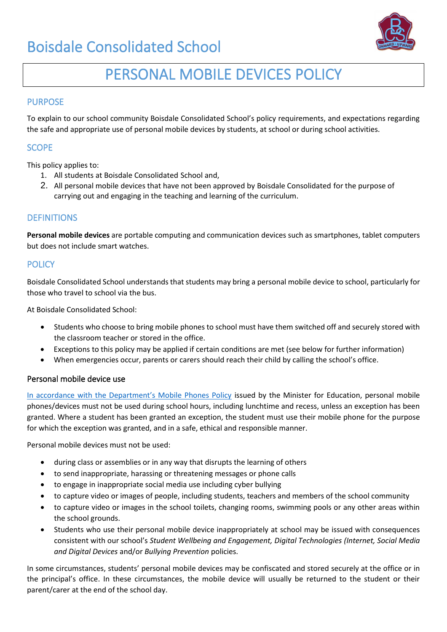# Boisdale Consolidated School



# PERSONAL MOBILE DEVICES POLICY

## PURPOSE

To explain to our school community Boisdale Consolidated School's policy requirements, and expectations regarding the safe and appropriate use of personal mobile devices by students, at school or during school activities.

## **SCOPE**

This policy applies to:

- 1. All students at Boisdale Consolidated School and,
- 2. All personal mobile devices that have not been approved by Boisdale Consolidated for the purpose of carrying out and engaging in the teaching and learning of the curriculum.

## **DEFINITIONS**

**Personal mobile devices** are portable computing and communication devices such as smartphones, tablet computers but does not include smart watches.

## **POLICY**

Boisdale Consolidated School understands that students may bring a personal mobile device to school, particularly for those who travel to school via the bus.

At Boisdale Consolidated School:

- Students who choose to bring mobile phones to school must have them switched off and securely stored with the classroom teacher or stored in the office.
- Exceptions to this policy may be applied if certain conditions are met (see below for further information)
- When emergencies occur, parents or carers should reach their child by calling the school's office.

### Personal mobile device us[e](https://www.education.vic.gov.au/school/principals/spag/safety/Pages/mobilephones.aspx)

[In accordance with the Department's Mobile Phones Policy](https://www.education.vic.gov.au/school/principals/spag/safety/Pages/mobilephones.aspx) issued by the Minister for Education, personal mobile phones/devices must not be used during school hours, including lunchtime and recess, unless an exception has been granted. Where a student has been granted an exception, the student must use their mobile phone for the purpose for which the exception was granted, and in a safe, ethical and responsible manner.

Personal mobile devices must not be used:

- during class or assemblies or in any way that disrupts the learning of others
- to send inappropriate, harassing or threatening messages or phone calls
- to engage in inappropriate social media use including cyber bullying
- to capture video or images of people, including students, teachers and members of the school community
- to capture video or images in the school toilets, changing rooms, swimming pools or any other areas within the school grounds.
- Students who use their personal mobile device inappropriately at school may be issued with consequences consistent with our school's *Student Wellbeing and Engagement, Digital Technologies (Internet, Social Media and Digital Devices* and/or *Bullying Prevention* policies.

In some circumstances, students' personal mobile devices may be confiscated and stored securely at the office or in the principal's office. In these circumstances, the mobile device will usually be returned to the student or their parent/carer at the end of the school day.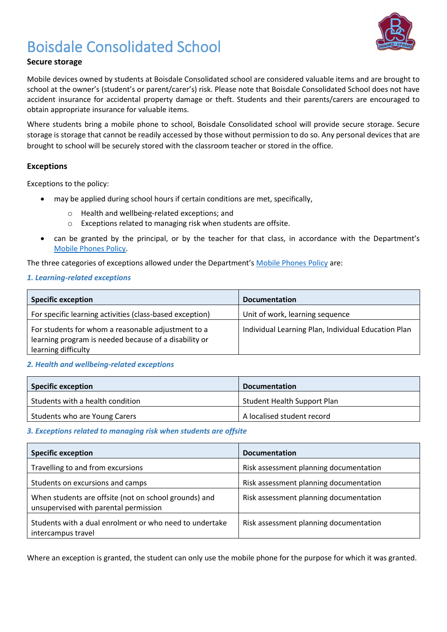

# Boisdale Consolidated School

## **Secure storage**

Mobile devices owned by students at Boisdale Consolidated school are considered valuable items and are brought to school at the owner's (student's or parent/carer's) risk. Please note that Boisdale Consolidated School does not have accident insurance for accidental property damage or theft. Students and their parents/carers are encouraged to obtain appropriate insurance for valuable items.

Where students bring a mobile phone to school, Boisdale Consolidated school will provide secure storage. Secure storage is storage that cannot be readily accessed by those without permission to do so. Any personal devices that are brought to school will be securely stored with the classroom teacher or stored in the office.

### **Exceptions**

Exceptions to the policy:

- may be applied during school hours if certain conditions are met, specifically,
	- o Health and wellbeing-related exceptions; and
	- o Exceptions related to managing risk when students are offsite.
- can be granted by the principal, or by the teacher for that class, in accordance with the Department's [Mobile Phones Policy.](https://www.education.vic.gov.au/school/principals/spag/safety/Pages/mobilephones.aspx)

The three categories of exceptions allowed under the Department's [Mobile Phones Policy](https://www.education.vic.gov.au/school/principals/spag/safety/Pages/mobilephones.aspx) are:

#### *1. Learning-related exceptions*

| <b>Specific exception</b>                                                                                                          | <b>Documentation</b>                                |
|------------------------------------------------------------------------------------------------------------------------------------|-----------------------------------------------------|
| For specific learning activities (class-based exception)                                                                           | Unit of work, learning sequence                     |
| For students for whom a reasonable adjustment to a<br>learning program is needed because of a disability or<br>learning difficulty | Individual Learning Plan, Individual Education Plan |

### *2. Health and wellbeing-related exceptions*

| Specific exception               | <b>Documentation</b>               |
|----------------------------------|------------------------------------|
| Students with a health condition | <b>Student Health Support Plan</b> |
| Students who are Young Carers    | A localised student record         |

#### *3. Exceptions related to managing risk when students are offsite*

| <b>Specific exception</b>                                                                      | <b>Documentation</b>                   |
|------------------------------------------------------------------------------------------------|----------------------------------------|
| Travelling to and from excursions                                                              | Risk assessment planning documentation |
| Students on excursions and camps                                                               | Risk assessment planning documentation |
| When students are offsite (not on school grounds) and<br>unsupervised with parental permission | Risk assessment planning documentation |
| Students with a dual enrolment or who need to undertake<br>intercampus travel                  | Risk assessment planning documentation |

Where an exception is granted, the student can only use the mobile phone for the purpose for which it was granted.